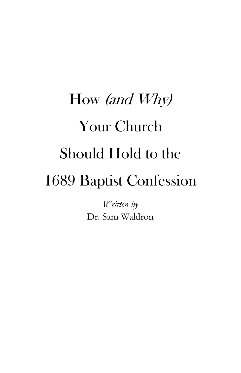# How (and Why) Your Church Should Hold to the 1689 Baptist Confession

*Written by* Dr. Sam Waldron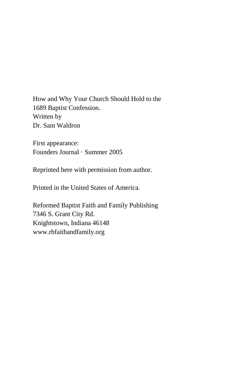How and Why Your Church Should Hold to the 1689 Baptist Confession. Written by Dr. Sam Waldron

First appearance: Founders Journal · Summer 2005

Reprinted here with permission from author.

Printed in the United States of America.

Reformed Baptist Faith and Family Publishing 7346 S. Grant City Rd. Knightstown, Indiana 46148 [www.rbfaithandfamily.org](http://www.rbfaithandfamily.org/)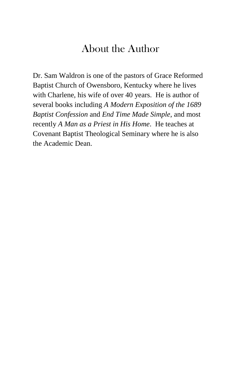# [About](http://founders.org/fj61/how-and-why-your-church-should-hold-to-the-1689-confession/cover.html#s_waldron) the Author

Dr. Sam Waldron is one of the pastors of Grace Reformed Baptist Church of Owensboro, Kentucky where he lives with Charlene, his wife of over 40 years. He is author of several books including *A Modern Exposition of the 1689 Baptist Confession* and *End Time Made Simple*, and most recently *A Man as a Priest in His Home*. He teaches at Covenant Baptist Theological Seminary where he is also the Academic Dean.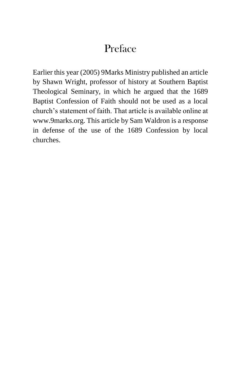# [Preface](http://founders.org/fj61/how-and-why-your-church-should-hold-to-the-1689-confession/cover.html#s_waldron)

Earlier this year (2005) 9Marks Ministry published an article by Shawn Wright, professor of history at Southern Baptist Theological Seminary, in which he argued that the 1689 Baptist Confession of Faith should not be used as a local church's statement of faith. That article is available online at www.9marks.org. This article by Sam Waldron is a response in defense of the use of the 1689 Confession by local churches.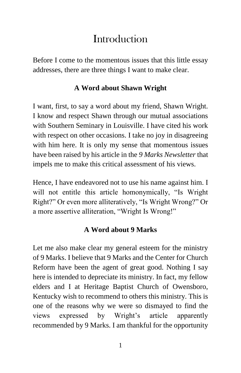# **Introduction**

Before I come to the momentous issues that this little essay addresses, there are three things I want to make clear.

## **A Word about Shawn Wright**

I want, first, to say a word about my friend, Shawn Wright. I know and respect Shawn through our mutual associations with Southern Seminary in Louisville. I have cited his work with respect on other occasions. I take no joy in disagreeing with him here. It is only my sense that momentous issues have been raised by his article in the *9 Marks Newsletter* that impels me to make this critical assessment of his views.

Hence, I have endeavored not to use his name against him. I will not entitle this article homonymically, "Is Wright Right?" Or even more alliteratively, "Is Wright Wrong?" Or a more assertive alliteration, "Wright Is Wrong!"

## **A Word about 9 Marks**

Let me also make clear my general esteem for the ministry of 9 Marks. I believe that 9 Marks and the Center for Church Reform have been the agent of great good. Nothing I say here is intended to depreciate its ministry. In fact, my fellow elders and I at Heritage Baptist Church of Owensboro, Kentucky wish to recommend to others this ministry. This is one of the reasons why we were so dismayed to find the views expressed by Wright's article apparently recommended by 9 Marks. I am thankful for the opportunity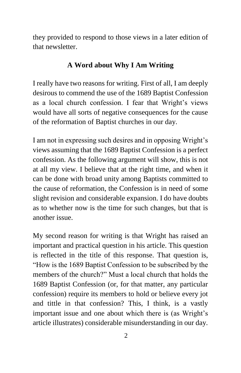they provided to respond to those views in a later edition of that newsletter.

### **A Word about Why I Am Writing**

I really have two reasons for writing. First of all, I am deeply desirous to commend the use of the 1689 Baptist Confession as a local church confession. I fear that Wright's views would have all sorts of negative consequences for the cause of the reformation of Baptist churches in our day.

I am not in expressing such desires and in opposing Wright's views assuming that the 1689 Baptist Confession is a perfect confession. As the following argument will show, this is not at all my view. I believe that at the right time, and when it can be done with broad unity among Baptists committed to the cause of reformation, the Confession is in need of some slight revision and considerable expansion. I do have doubts as to whether now is the time for such changes, but that is another issue.

My second reason for writing is that Wright has raised an important and practical question in his article. This question is reflected in the title of this response. That question is, "How is the 1689 Baptist Confession to be subscribed by the members of the church?" Must a local church that holds the 1689 Baptist Confession (or, for that matter, any particular confession) require its members to hold or believe every jot and tittle in that confession? This, I think, is a vastly important issue and one about which there is (as Wright's article illustrates) considerable misunderstanding in our day.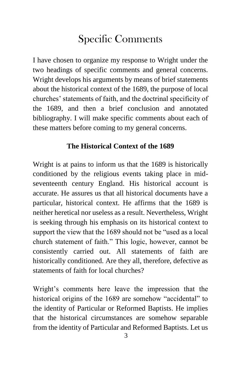# Specific Comments

I have chosen to organize my response to Wright under the two headings of specific comments and general concerns. Wright develops his arguments by means of brief statements about the historical context of the 1689, the purpose of local churches' statements of faith, and the doctrinal specificity of the 1689, and then a brief conclusion and annotated bibliography. I will make specific comments about each of these matters before coming to my general concerns.

#### **The Historical Context of the 1689**

Wright is at pains to inform us that the 1689 is historically conditioned by the religious events taking place in midseventeenth century England. His historical account is accurate. He assures us that all historical documents have a particular, historical context. He affirms that the 1689 is neither heretical nor useless as a result. Nevertheless, Wright is seeking through his emphasis on its historical context to support the view that the 1689 should not be "used as a local church statement of faith." This logic, however, cannot be consistently carried out. All statements of faith are historically conditioned. Are they all, therefore, defective as statements of faith for local churches?

Wright's comments here leave the impression that the historical origins of the 1689 are somehow "accidental" to the identity of Particular or Reformed Baptists. He implies that the historical circumstances are somehow separable from the identity of Particular and Reformed Baptists. Let us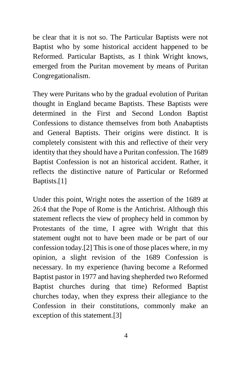be clear that it is not so. The Particular Baptists were not Baptist who by some historical accident happened to be Reformed. Particular Baptists, as I think Wright knows, emerged from the Puritan movement by means of Puritan Congregationalism.

They were Puritans who by the gradual evolution of Puritan thought in England became Baptists. These Baptists were determined in the First and Second London Baptist Confessions to distance themselves from both Anabaptists and General Baptists. Their origins were distinct. It is completely consistent with this and reflective of their very identity that they should have a Puritan confession. The 1689 Baptist Confession is not an historical accident. Rather, it reflects the distinctive nature of Particular or Reformed Baptists[.\[1\]](http://founders.org/fj61/how-and-why-your-church-should-hold-to-the-1689-confession/#N_1_)

Under this point, Wright notes the assertion of the 1689 at 26:4 that the Pope of Rome is the Antichrist. Although this statement reflects the view of prophecy held in common by Protestants of the time, I agree with Wright that this statement ought not to have been made or be part of our confession today[.\[2\]](http://founders.org/fj61/how-and-why-your-church-should-hold-to-the-1689-confession/#N_2_) This is one of those places where, in my opinion, a slight revision of the 1689 Confession is necessary. In my experience (having become a Reformed Baptist pastor in 1977 and having shepherded two Reformed Baptist churches during that time) Reformed Baptist churches today, when they express their allegiance to the Confession in their constitutions, commonly make an exception of this statement[.\[3\]](http://founders.org/fj61/how-and-why-your-church-should-hold-to-the-1689-confession/#N_3_)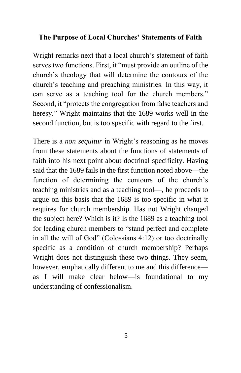#### **The Purpose of Local Churches' Statements of Faith**

Wright remarks next that a local church's statement of faith serves two functions. First, it "must provide an outline of the church's theology that will determine the contours of the church's teaching and preaching ministries. In this way, it can serve as a teaching tool for the church members." Second, it "protects the congregation from false teachers and heresy." Wright maintains that the 1689 works well in the second function, but is too specific with regard to the first.

There is a *non sequitur* in Wright's reasoning as he moves from these statements about the functions of statements of faith into his next point about doctrinal specificity. Having said that the 1689 fails in the first function noted above—the function of determining the contours of the church's teaching ministries and as a teaching tool—, he proceeds to argue on this basis that the 1689 is too specific in what it requires for church membership. Has not Wright changed the subject here? Which is it? Is the 1689 as a teaching tool for leading church members to "stand perfect and complete in all the will of God" (Colossians 4:12) or too doctrinally specific as a condition of church membership? Perhaps Wright does not distinguish these two things. They seem, however, emphatically different to me and this difference as I will make clear below—is foundational to my understanding of confessionalism.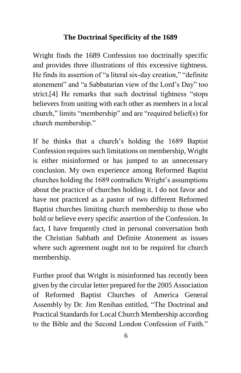#### **The Doctrinal Specificity of the 1689**

Wright finds the 1689 Confession too doctrinally specific and provides three illustrations of this excessive tightness. He finds its assertion of "a literal six-day creation," "definite atonement" and "a Sabbatarian view of the Lord's Day" too strict[.\[4\]](http://founders.org/fj61/how-and-why-your-church-should-hold-to-the-1689-confession/#N_4_) He remarks that such doctrinal tightness "stops believers from uniting with each other as members in a local church," limits "membership" and are "required belief(s) for church membership."

If he thinks that a church's holding the 1689 Baptist Confession requires such limitations on membership, Wright is either misinformed or has jumped to an unnecessary conclusion. My own experience among Reformed Baptist churches holding the 1689 contradicts Wright's assumptions about the practice of churches holding it. I do not favor and have not practiced as a pastor of two different Reformed Baptist churches limiting church membership to those who hold or believe every specific assertion of the Confession. In fact, I have frequently cited in personal conversation both the Christian Sabbath and Definite Atonement as issues where such agreement ought not to be required for church membership.

Further proof that Wright is misinformed has recently been given by the circular letter prepared for the 2005 Association of Reformed Baptist Churches of America General Assembly by Dr. Jim Renihan entitled, "The Doctrinal and Practical Standards for Local Church Membership according to the Bible and the Second London Confession of Faith."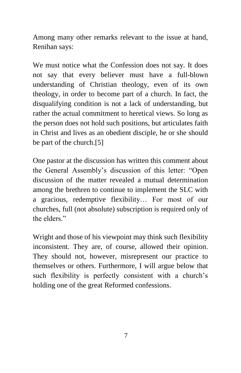Among many other remarks relevant to the issue at hand, Renihan says:

We must notice what the Confession does not say. It does not say that every believer must have a full-blown understanding of Christian theology, even of its own theology, in order to become part of a church. In fact, the disqualifying condition is not a lack of understanding, but rather the actual commitment to heretical views. So long as the person does not hold such positions, but articulates faith in Christ and lives as an obedient disciple, he or she should be part of the church[.\[5\]](http://founders.org/fj61/how-and-why-your-church-should-hold-to-the-1689-confession/#N_5_)

One pastor at the discussion has written this comment about the General Assembly's discussion of this letter: "Open discussion of the matter revealed a mutual determination among the brethren to continue to implement the SLC with a gracious, redemptive flexibility… For most of our churches, full (not absolute) subscription is required only of the elders."

Wright and those of his viewpoint may think such flexibility inconsistent. They are, of course, allowed their opinion. They should not, however, misrepresent our practice to themselves or others. Furthermore, I will argue below that such flexibility is perfectly consistent with a church's holding one of the great Reformed confessions.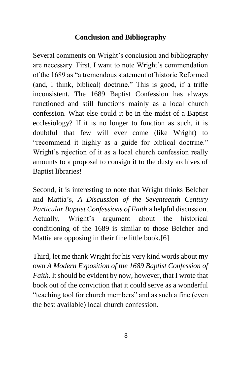## **Conclusion and Bibliography**

Several comments on Wright's conclusion and bibliography are necessary. First, I want to note Wright's commendation of the 1689 as "a tremendous statement of historic Reformed (and, I think, biblical) doctrine." This is good, if a trifle inconsistent. The 1689 Baptist Confession has always functioned and still functions mainly as a local church confession. What else could it be in the midst of a Baptist ecclesiology? If it is no longer to function as such, it is doubtful that few will ever come (like Wright) to "recommend it highly as a guide for biblical doctrine." Wright's rejection of it as a local church confession really amounts to a proposal to consign it to the dusty archives of Baptist libraries!

Second, it is interesting to note that Wright thinks Belcher and Mattia's, *A Discussion of the Seventeenth Century Particular Baptist Confessions of Faith* a helpful discussion. Actually, Wright's argument about the historical conditioning of the 1689 is similar to those Belcher and Mattia are opposing in their fine little book[.\[6\]](http://founders.org/fj61/how-and-why-your-church-should-hold-to-the-1689-confession/#N_6_)

Third, let me thank Wright for his very kind words about my own *A Modern Exposition of the 1689 Baptist Confession of Faith.* It should be evident by now, however, that I wrote that book out of the conviction that it could serve as a wonderful "teaching tool for church members" and as such a fine (even the best available) local church confession.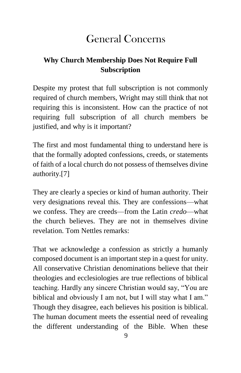# General Concerns

# **Why Church Membership Does Not Require Full Subscription**

Despite my protest that full subscription is not commonly required of church members, Wright may still think that not requiring this is inconsistent. How can the practice of not requiring full subscription of all church members be justified, and why is it important?

The first and most fundamental thing to understand here is that the formally adopted confessions, creeds, or statements of faith of a local church do not possess of themselves divine authority[.\[7\]](http://founders.org/fj61/how-and-why-your-church-should-hold-to-the-1689-confession/#N_7_)

They are clearly a species or kind of human authority. Their very designations reveal this. They are confessions—what we confess. They are creeds—from the Latin *credo*—what the church believes. They are not in themselves divine revelation. Tom Nettles remarks:

That we acknowledge a confession as strictly a humanly composed document is an important step in a quest for unity. All conservative Christian denominations believe that their theologies and ecclesiologies are true reflections of biblical teaching. Hardly any sincere Christian would say, "You are biblical and obviously I am not, but I will stay what I am." Though they disagree, each believes his position is biblical. The human document meets the essential need of revealing the different understanding of the Bible. When these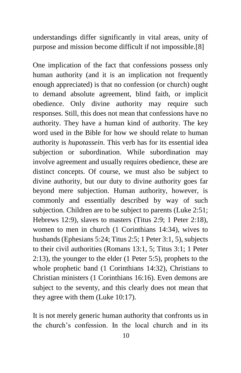understandings differ significantly in vital areas, unity of purpose and mission become difficult if not impossible[.\[8\]](http://founders.org/fj61/how-and-why-your-church-should-hold-to-the-1689-confession/#N_8_)

One implication of the fact that confessions possess only human authority (and it is an implication not frequently enough appreciated) is that no confession (or church) ought to demand absolute agreement, blind faith, or implicit obedience. Only divine authority may require such responses. Still, this does not mean that confessions have no authority. They have a human kind of authority. The key word used in the Bible for how we should relate to human authority is *hupotassein*. This verb has for its essential idea subjection or subordination. While subordination may involve agreement and usually requires obedience, these are distinct concepts. Of course, we must also be subject to divine authority, but our duty to divine authority goes far beyond mere subjection. Human authority, however, is commonly and essentially described by way of such subjection. Children are to be subject to parents (Luke 2:51; Hebrews 12:9), slaves to masters (Titus 2:9; 1 Peter 2:18), women to men in church (1 Corinthians 14:34), wives to husbands (Ephesians 5:24; Titus 2:5; 1 Peter 3:1, 5), subjects to their civil authorities (Romans 13:1, 5; Titus 3:1; 1 Peter 2:13), the younger to the elder (1 Peter 5:5), prophets to the whole prophetic band (1 Corinthians 14:32), Christians to Christian ministers (1 Corinthians 16:16). Even demons are subject to the seventy, and this clearly does not mean that they agree with them (Luke 10:17).

It is not merely generic human authority that confronts us in the church's confession. In the local church and in its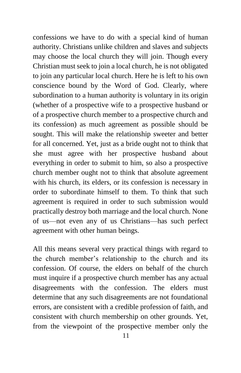confessions we have to do with a special kind of human authority. Christians unlike children and slaves and subjects may choose the local church they will join. Though every Christian must seek to join a local church, he is not obligated to join any particular local church. Here he is left to his own conscience bound by the Word of God. Clearly, where subordination to a human authority is voluntary in its origin (whether of a prospective wife to a prospective husband or of a prospective church member to a prospective church and its confession) as much agreement as possible should be sought. This will make the relationship sweeter and better for all concerned. Yet, just as a bride ought not to think that she must agree with her prospective husband about everything in order to submit to him, so also a prospective church member ought not to think that absolute agreement with his church, its elders, or its confession is necessary in order to subordinate himself to them. To think that such agreement is required in order to such submission would practically destroy both marriage and the local church. None of us—not even any of us Christians—has such perfect agreement with other human beings.

All this means several very practical things with regard to the church member's relationship to the church and its confession. Of course, the elders on behalf of the church must inquire if a prospective church member has any actual disagreements with the confession. The elders must determine that any such disagreements are not foundational errors, are consistent with a credible profession of faith, and consistent with church membership on other grounds. Yet, from the viewpoint of the prospective member only the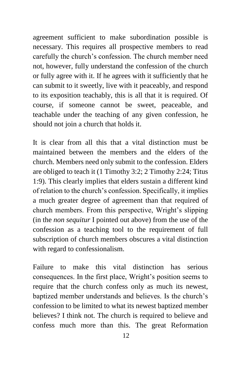agreement sufficient to make subordination possible is necessary. This requires all prospective members to read carefully the church's confession. The church member need not, however, fully understand the confession of the church or fully agree with it. If he agrees with it sufficiently that he can submit to it sweetly, live with it peaceably, and respond to its exposition teachably, this is all that it is required. Of course, if someone cannot be sweet, peaceable, and teachable under the teaching of any given confession, he should not join a church that holds it.

It is clear from all this that a vital distinction must be maintained between the members and the elders of the church. Members need only submit to the confession. Elders are obliged to teach it (1 Timothy 3:2; 2 Timothy 2:24; Titus 1:9). This clearly implies that elders sustain a different kind of relation to the church's confession. Specifically, it implies a much greater degree of agreement than that required of church members. From this perspective, Wright's slipping (in the *non sequitur* I pointed out above) from the use of the confession as a teaching tool to the requirement of full subscription of church members obscures a vital distinction with regard to confessionalism.

Failure to make this vital distinction has serious consequences. In the first place, Wright's position seems to require that the church confess only as much its newest, baptized member understands and believes. Is the church's confession to be limited to what its newest baptized member believes? I think not. The church is required to believe and confess much more than this. The great Reformation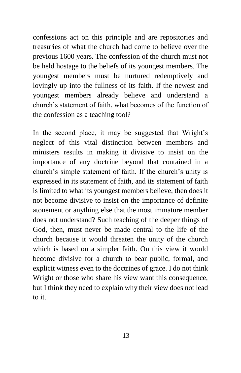confessions act on this principle and are repositories and treasuries of what the church had come to believe over the previous 1600 years. The confession of the church must not be held hostage to the beliefs of its youngest members. The youngest members must be nurtured redemptively and lovingly up into the fullness of its faith. If the newest and youngest members already believe and understand a church's statement of faith, what becomes of the function of the confession as a teaching tool?

In the second place, it may be suggested that Wright's neglect of this vital distinction between members and ministers results in making it divisive to insist on the importance of any doctrine beyond that contained in a church's simple statement of faith. If the church's unity is expressed in its statement of faith, and its statement of faith is limited to what its youngest members believe, then does it not become divisive to insist on the importance of definite atonement or anything else that the most immature member does not understand? Such teaching of the deeper things of God, then, must never be made central to the life of the church because it would threaten the unity of the church which is based on a simpler faith. On this view it would become divisive for a church to bear public, formal, and explicit witness even to the doctrines of grace. I do not think Wright or those who share his view want this consequence, but I think they need to explain why their view does not lead to it.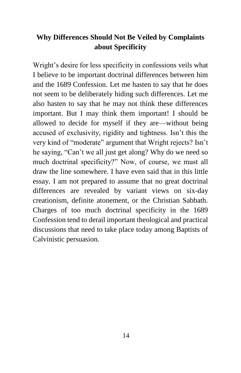## **Why Differences Should Not Be Veiled by Complaints about Specificity**

Wright's desire for less specificity in confessions veils what I believe to be important doctrinal differences between him and the 1689 Confession. Let me hasten to say that he does not seem to be deliberately hiding such differences. Let me also hasten to say that he may not think these differences important. But I may think them important! I should be allowed to decide for myself if they are—without being accused of exclusivity, rigidity and tightness. Isn't this the very kind of "moderate" argument that Wright rejects? Isn't he saying, "Can't we all just get along? Why do we need so much doctrinal specificity?" Now, of course, we must all draw the line somewhere. I have even said that in this little essay. I am not prepared to assume that no great doctrinal differences are revealed by variant views on six-day creationism, definite atonement, or the Christian Sabbath. Charges of too much doctrinal specificity in the 1689 Confession tend to derail important theological and practical discussions that need to take place today among Baptists of Calvinistic persuasion.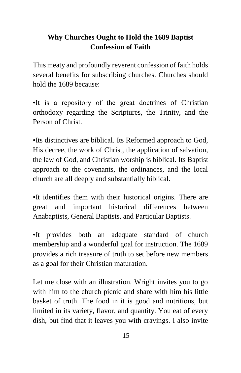# **Why Churches Ought to Hold the 1689 Baptist Confession of Faith**

This meaty and profoundly reverent confession of faith holds several benefits for subscribing churches. Churches should hold the 1689 because:

•It is a repository of the great doctrines of Christian orthodoxy regarding the Scriptures, the Trinity, and the Person of Christ.

•Its distinctives are biblical. Its Reformed approach to God, His decree, the work of Christ, the application of salvation, the law of God, and Christian worship is biblical. Its Baptist approach to the covenants, the ordinances, and the local church are all deeply and substantially biblical.

•It identifies them with their historical origins. There are great and important historical differences between Anabaptists, General Baptists, and Particular Baptists.

•It provides both an adequate standard of church membership and a wonderful goal for instruction. The 1689 provides a rich treasure of truth to set before new members as a goal for their Christian maturation.

Let me close with an illustration. Wright invites you to go with him to the church picnic and share with him his little basket of truth. The food in it is good and nutritious, but limited in its variety, flavor, and quantity. You eat of every dish, but find that it leaves you with cravings. I also invite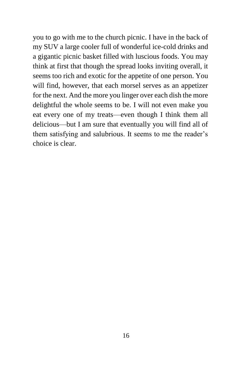you to go with me to the church picnic. I have in the back of my SUV a large cooler full of wonderful ice-cold drinks and a gigantic picnic basket filled with luscious foods. You may think at first that though the spread looks inviting overall, it seems too rich and exotic for the appetite of one person. You will find, however, that each morsel serves as an appetizer for the next. And the more you linger over each dish the more delightful the whole seems to be. I will not even make you eat every one of my treats—even though I think them all delicious—but I am sure that eventually you will find all of them satisfying and salubrious. It seems to me the reader's choice is clear.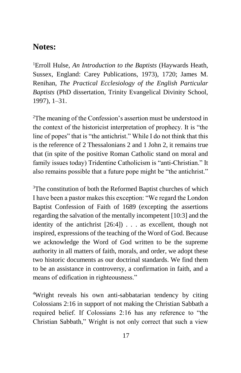## **Notes:**

<sup>1</sup>Erroll Hulse, *An Introduction to the Baptists* (Haywards Heath, Sussex, England: Carey Publications, 1973), 1720; James M. Renihan, *The Practical Ecclesiology of the English Particular Baptists* (PhD dissertation, Trinity Evangelical Divinity School, 1997), 1–31.

<sup>2</sup>The meaning of the Confession's assertion must be understood in the context of the historicist interpretation of prophecy. It is "the line of popes" that is "the antichrist." While I do not think that this is the reference of 2 Thessalonians 2 and 1 John 2, it remains true that (in spite of the positive Roman Catholic stand on moral and family issues today) Tridentine Catholicism is "anti-Christian." It also remains possible that a future pope might be "the antichrist."

<sup>3</sup>The constitution of both the Reformed Baptist churches of which I have been a pastor makes this exception: "We regard the London Baptist Confession of Faith of 1689 (excepting the assertions regarding the salvation of the mentally incompetent [10:3] and the identity of the antichrist [26:4]) . . . as excellent, though not inspired, expressions of the teaching of the Word of God. Because we acknowledge the Word of God written to be the supreme authority in all matters of faith, morals, and order, we adopt these two historic documents as our doctrinal standards. We find them to be an assistance in controversy, a confirmation in faith, and a means of edification in righteousness."

<sup>4</sup>Wright reveals his own anti-sabbatarian tendency by citing Colossians 2:16 in support of not making the Christian Sabbath a required belief. If Colossians 2:16 has any reference to "the Christian Sabbath," Wright is not only correct that such a view